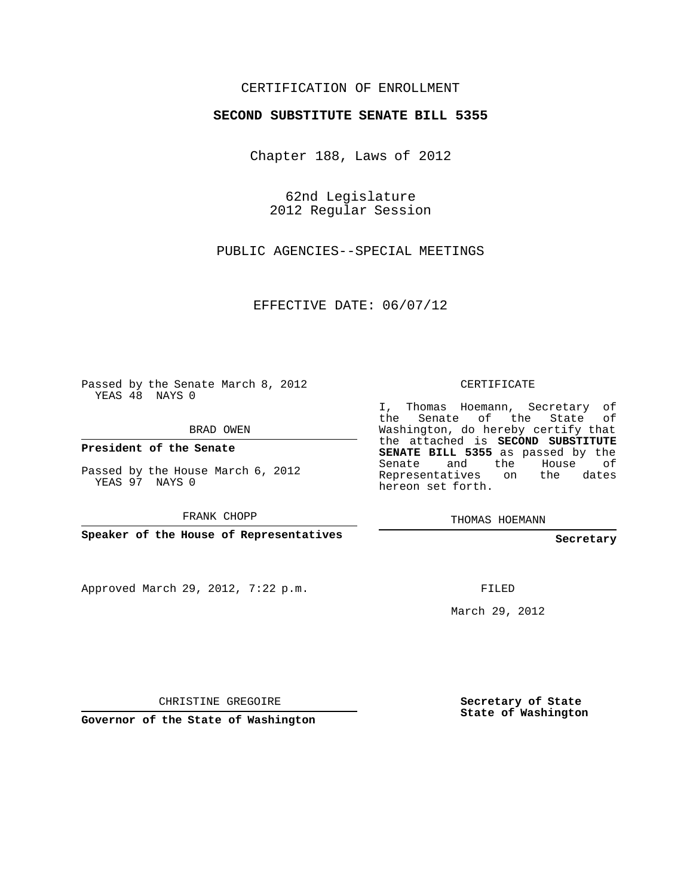## CERTIFICATION OF ENROLLMENT

## **SECOND SUBSTITUTE SENATE BILL 5355**

Chapter 188, Laws of 2012

62nd Legislature 2012 Regular Session

PUBLIC AGENCIES--SPECIAL MEETINGS

EFFECTIVE DATE: 06/07/12

Passed by the Senate March 8, 2012 YEAS 48 NAYS 0

BRAD OWEN

**President of the Senate**

Passed by the House March 6, 2012 YEAS 97 NAYS 0

FRANK CHOPP

**Speaker of the House of Representatives**

Approved March 29, 2012, 7:22 p.m.

CERTIFICATE

I, Thomas Hoemann, Secretary of the Senate of the State of Washington, do hereby certify that the attached is **SECOND SUBSTITUTE SENATE BILL 5355** as passed by the Senate and the House of Representatives on the dates hereon set forth.

THOMAS HOEMANN

**Secretary**

FILED

March 29, 2012

CHRISTINE GREGOIRE

**Governor of the State of Washington**

**Secretary of State State of Washington**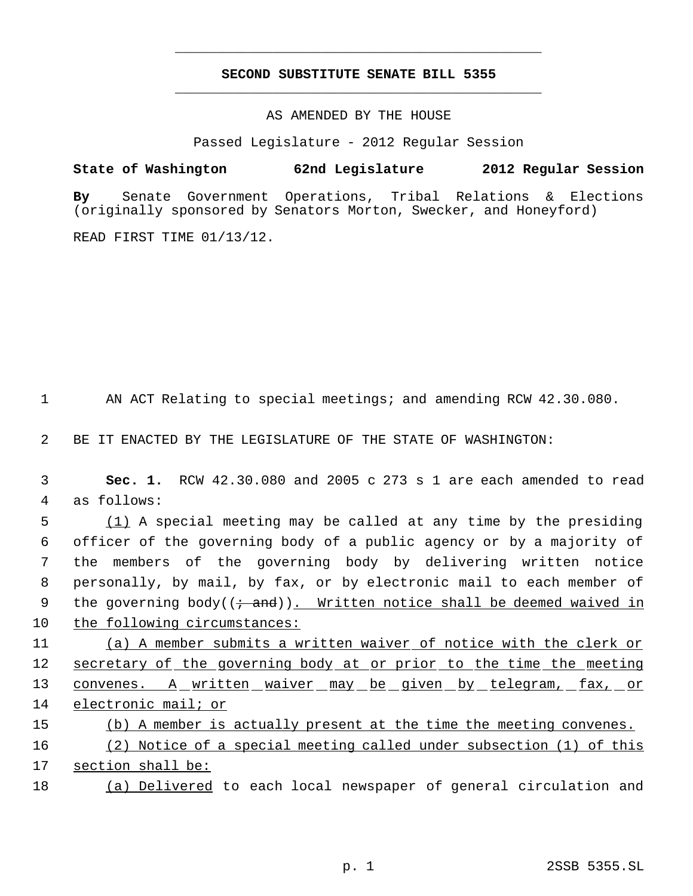## **SECOND SUBSTITUTE SENATE BILL 5355** \_\_\_\_\_\_\_\_\_\_\_\_\_\_\_\_\_\_\_\_\_\_\_\_\_\_\_\_\_\_\_\_\_\_\_\_\_\_\_\_\_\_\_\_\_

\_\_\_\_\_\_\_\_\_\_\_\_\_\_\_\_\_\_\_\_\_\_\_\_\_\_\_\_\_\_\_\_\_\_\_\_\_\_\_\_\_\_\_\_\_

AS AMENDED BY THE HOUSE

Passed Legislature - 2012 Regular Session

**State of Washington 62nd Legislature 2012 Regular Session**

**By** Senate Government Operations, Tribal Relations & Elections (originally sponsored by Senators Morton, Swecker, and Honeyford)

READ FIRST TIME 01/13/12.

1 AN ACT Relating to special meetings; and amending RCW 42.30.080.

2 BE IT ENACTED BY THE LEGISLATURE OF THE STATE OF WASHINGTON:

 3 **Sec. 1.** RCW 42.30.080 and 2005 c 273 s 1 are each amended to read 4 as follows:

 (1) A special meeting may be called at any time by the presiding officer of the governing body of a public agency or by a majority of the members of the governing body by delivering written notice personally, by mail, by fax, or by electronic mail to each member of 9 the governing body( $(+$  and)). Written notice shall be deemed waived in the following circumstances:

11 (a) A member submits a written waiver of notice with the clerk or 12 secretary of the governing body at or prior to the time the meeting 13 convenes. A written waiver may be given by telegram, fax, or 14 electronic mail; or

15 (b) A member is actually present at the time the meeting convenes.

16 (2) Notice of a special meeting called under subsection (1) of this 17 section shall be:

18 (a) Delivered to each local newspaper of general circulation and